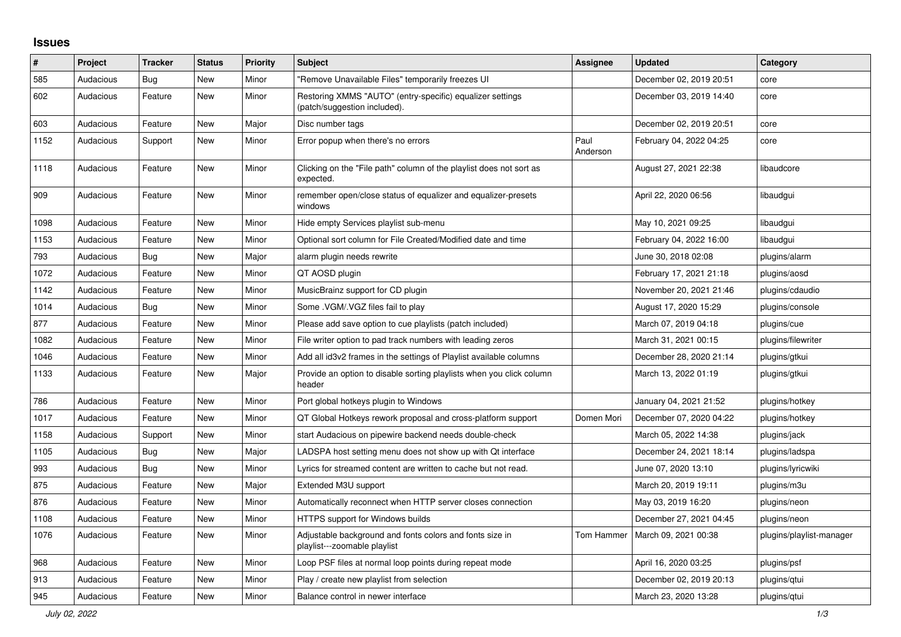## **Issues**

| $\#$ | Project   | <b>Tracker</b> | <b>Status</b> | <b>Priority</b> | <b>Subject</b>                                                                            | <b>Assignee</b>  | <b>Updated</b>          | Category                 |
|------|-----------|----------------|---------------|-----------------|-------------------------------------------------------------------------------------------|------------------|-------------------------|--------------------------|
| 585  | Audacious | Bug            | <b>New</b>    | Minor           | "Remove Unavailable Files" temporarily freezes UI                                         |                  | December 02, 2019 20:51 | core                     |
| 602  | Audacious | Feature        | New           | Minor           | Restoring XMMS "AUTO" (entry-specific) equalizer settings<br>(patch/suggestion included). |                  | December 03, 2019 14:40 | core                     |
| 603  | Audacious | Feature        | <b>New</b>    | Major           | Disc number tags                                                                          |                  | December 02, 2019 20:51 | core                     |
| 1152 | Audacious | Support        | New           | Minor           | Error popup when there's no errors                                                        | Paul<br>Anderson | February 04, 2022 04:25 | core                     |
| 1118 | Audacious | Feature        | New           | Minor           | Clicking on the "File path" column of the playlist does not sort as<br>expected.          |                  | August 27, 2021 22:38   | libaudcore               |
| 909  | Audacious | Feature        | New           | Minor           | remember open/close status of equalizer and equalizer-presets<br>windows                  |                  | April 22, 2020 06:56    | libaudgui                |
| 1098 | Audacious | Feature        | <b>New</b>    | Minor           | Hide empty Services playlist sub-menu                                                     |                  | May 10, 2021 09:25      | libaudgui                |
| 1153 | Audacious | Feature        | New           | Minor           | Optional sort column for File Created/Modified date and time                              |                  | February 04, 2022 16:00 | libaudgui                |
| 793  | Audacious | <b>Bug</b>     | New           | Major           | alarm plugin needs rewrite                                                                |                  | June 30, 2018 02:08     | plugins/alarm            |
| 1072 | Audacious | Feature        | <b>New</b>    | Minor           | QT AOSD plugin                                                                            |                  | February 17, 2021 21:18 | plugins/aosd             |
| 1142 | Audacious | Feature        | <b>New</b>    | Minor           | MusicBrainz support for CD plugin                                                         |                  | November 20, 2021 21:46 | plugins/cdaudio          |
| 1014 | Audacious | <b>Bug</b>     | New           | Minor           | Some .VGM/.VGZ files fail to play                                                         |                  | August 17, 2020 15:29   | plugins/console          |
| 877  | Audacious | Feature        | New           | Minor           | Please add save option to cue playlists (patch included)                                  |                  | March 07, 2019 04:18    | plugins/cue              |
| 1082 | Audacious | Feature        | New           | Minor           | File writer option to pad track numbers with leading zeros                                |                  | March 31, 2021 00:15    | plugins/filewriter       |
| 1046 | Audacious | Feature        | New           | Minor           | Add all id3v2 frames in the settings of Playlist available columns                        |                  | December 28, 2020 21:14 | plugins/gtkui            |
| 1133 | Audacious | Feature        | New           | Major           | Provide an option to disable sorting playlists when you click column<br>header            |                  | March 13, 2022 01:19    | plugins/gtkui            |
| 786  | Audacious | Feature        | New           | Minor           | Port global hotkeys plugin to Windows                                                     |                  | January 04, 2021 21:52  | plugins/hotkey           |
| 1017 | Audacious | Feature        | <b>New</b>    | Minor           | QT Global Hotkeys rework proposal and cross-platform support                              | Domen Mori       | December 07, 2020 04:22 | plugins/hotkey           |
| 1158 | Audacious | Support        | <b>New</b>    | Minor           | start Audacious on pipewire backend needs double-check                                    |                  | March 05, 2022 14:38    | plugins/jack             |
| 1105 | Audacious | Bug            | <b>New</b>    | Major           | LADSPA host setting menu does not show up with Qt interface                               |                  | December 24, 2021 18:14 | plugins/ladspa           |
| 993  | Audacious | Bug            | <b>New</b>    | Minor           | Lyrics for streamed content are written to cache but not read.                            |                  | June 07, 2020 13:10     | plugins/lyricwiki        |
| 875  | Audacious | Feature        | <b>New</b>    | Major           | Extended M3U support                                                                      |                  | March 20, 2019 19:11    | plugins/m3u              |
| 876  | Audacious | Feature        | <b>New</b>    | Minor           | Automatically reconnect when HTTP server closes connection                                |                  | May 03, 2019 16:20      | plugins/neon             |
| 1108 | Audacious | Feature        | New           | Minor           | HTTPS support for Windows builds                                                          |                  | December 27, 2021 04:45 | plugins/neon             |
| 1076 | Audacious | Feature        | New           | Minor           | Adjustable background and fonts colors and fonts size in<br>playlist---zoomable playlist  | Tom Hammer       | March 09, 2021 00:38    | plugins/playlist-manager |
| 968  | Audacious | Feature        | New           | Minor           | Loop PSF files at normal loop points during repeat mode                                   |                  | April 16, 2020 03:25    | plugins/psf              |
| 913  | Audacious | Feature        | New           | Minor           | Play / create new playlist from selection                                                 |                  | December 02, 2019 20:13 | plugins/gtui             |
| 945  | Audacious | Feature        | <b>New</b>    | Minor           | Balance control in newer interface                                                        |                  | March 23, 2020 13:28    | plugins/gtui             |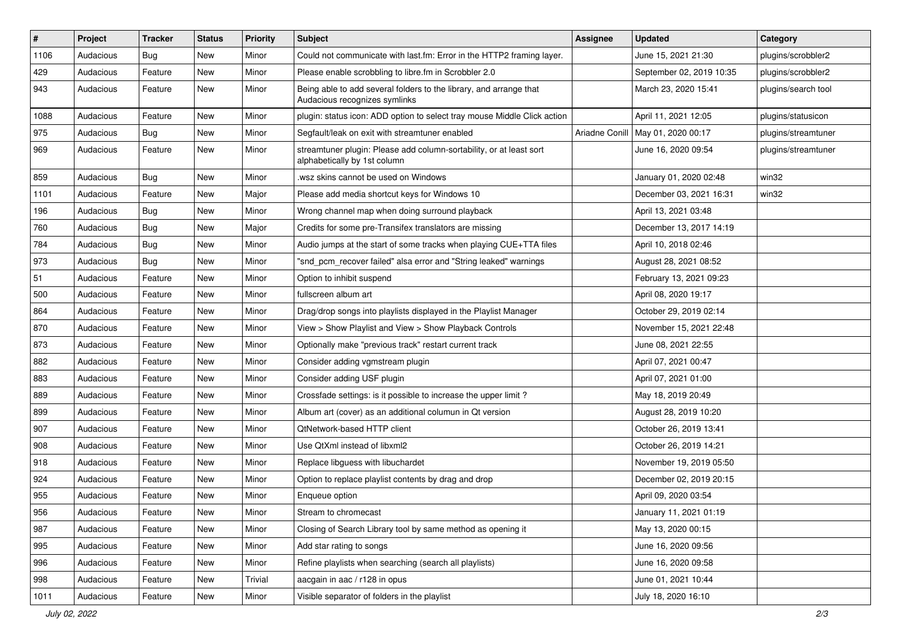| #    | Project   | <b>Tracker</b> | <b>Status</b> | <b>Priority</b> | <b>Subject</b>                                                                                      | Assignee       | <b>Updated</b>           | Category            |
|------|-----------|----------------|---------------|-----------------|-----------------------------------------------------------------------------------------------------|----------------|--------------------------|---------------------|
| 1106 | Audacious | <b>Bug</b>     | <b>New</b>    | Minor           | Could not communicate with last.fm: Error in the HTTP2 framing layer.                               |                | June 15, 2021 21:30      | plugins/scrobbler2  |
| 429  | Audacious | Feature        | New           | Minor           | Please enable scrobbling to libre.fm in Scrobbler 2.0                                               |                | September 02, 2019 10:35 | plugins/scrobbler2  |
| 943  | Audacious | Feature        | New           | Minor           | Being able to add several folders to the library, and arrange that<br>Audacious recognizes symlinks |                | March 23, 2020 15:41     | plugins/search tool |
| 1088 | Audacious | Feature        | <b>New</b>    | Minor           | plugin: status icon: ADD option to select tray mouse Middle Click action                            |                | April 11, 2021 12:05     | plugins/statusicon  |
| 975  | Audacious | <b>Bug</b>     | <b>New</b>    | Minor           | Segfault/leak on exit with streamtuner enabled                                                      | Ariadne Conill | May 01, 2020 00:17       | plugins/streamtuner |
| 969  | Audacious | Feature        | <b>New</b>    | Minor           | streamtuner plugin: Please add column-sortability, or at least sort<br>alphabetically by 1st column |                | June 16, 2020 09:54      | plugins/streamtuner |
| 859  | Audacious | <b>Bug</b>     | <b>New</b>    | Minor           | wsz skins cannot be used on Windows                                                                 |                | January 01, 2020 02:48   | win32               |
| 1101 | Audacious | Feature        | <b>New</b>    | Major           | Please add media shortcut keys for Windows 10                                                       |                | December 03, 2021 16:31  | win32               |
| 196  | Audacious | Bug            | New           | Minor           | Wrong channel map when doing surround playback                                                      |                | April 13, 2021 03:48     |                     |
| 760  | Audacious | <b>Bug</b>     | New           | Major           | Credits for some pre-Transifex translators are missing                                              |                | December 13, 2017 14:19  |                     |
| 784  | Audacious | <b>Bug</b>     | New           | Minor           | Audio jumps at the start of some tracks when playing CUE+TTA files                                  |                | April 10, 2018 02:46     |                     |
| 973  | Audacious | <b>Bug</b>     | <b>New</b>    | Minor           | "snd_pcm_recover failed" alsa error and "String leaked" warnings                                    |                | August 28, 2021 08:52    |                     |
| 51   | Audacious | Feature        | <b>New</b>    | Minor           | Option to inhibit suspend                                                                           |                | February 13, 2021 09:23  |                     |
| 500  | Audacious | Feature        | <b>New</b>    | Minor           | fullscreen album art                                                                                |                | April 08, 2020 19:17     |                     |
| 864  | Audacious | Feature        | New           | Minor           | Drag/drop songs into playlists displayed in the Playlist Manager                                    |                | October 29, 2019 02:14   |                     |
| 870  | Audacious | Feature        | <b>New</b>    | Minor           | View > Show Playlist and View > Show Playback Controls                                              |                | November 15, 2021 22:48  |                     |
| 873  | Audacious | Feature        | New           | Minor           | Optionally make "previous track" restart current track                                              |                | June 08, 2021 22:55      |                     |
| 882  | Audacious | Feature        | <b>New</b>    | Minor           | Consider adding vgmstream plugin                                                                    |                | April 07, 2021 00:47     |                     |
| 883  | Audacious | Feature        | New           | Minor           | Consider adding USF plugin                                                                          |                | April 07, 2021 01:00     |                     |
| 889  | Audacious | Feature        | New           | Minor           | Crossfade settings: is it possible to increase the upper limit?                                     |                | May 18, 2019 20:49       |                     |
| 899  | Audacious | Feature        | <b>New</b>    | Minor           | Album art (cover) as an additional columun in Qt version                                            |                | August 28, 2019 10:20    |                     |
| 907  | Audacious | Feature        | New           | Minor           | QtNetwork-based HTTP client                                                                         |                | October 26, 2019 13:41   |                     |
| 908  | Audacious | Feature        | <b>New</b>    | Minor           | Use QtXml instead of libxml2                                                                        |                | October 26, 2019 14:21   |                     |
| 918  | Audacious | Feature        | New           | Minor           | Replace libguess with libuchardet                                                                   |                | November 19, 2019 05:50  |                     |
| 924  | Audacious | Feature        | New           | Minor           | Option to replace playlist contents by drag and drop                                                |                | December 02, 2019 20:15  |                     |
| 955  | Audacious | Feature        | <b>New</b>    | Minor           | Enqueue option                                                                                      |                | April 09, 2020 03:54     |                     |
| 956  | Audacious | Feature        | New           | Minor           | Stream to chromecast                                                                                |                | January 11, 2021 01:19   |                     |
| 987  | Audacious | Feature        | New           | Minor           | Closing of Search Library tool by same method as opening it                                         |                | May 13, 2020 00:15       |                     |
| 995  | Audacious | Feature        | New           | Minor           | Add star rating to songs                                                                            |                | June 16, 2020 09:56      |                     |
| 996  | Audacious | Feature        | New           | Minor           | Refine playlists when searching (search all playlists)                                              |                | June 16, 2020 09:58      |                     |
| 998  | Audacious | Feature        | New           | Trivial         | aacgain in aac / r128 in opus                                                                       |                | June 01, 2021 10:44      |                     |
| 1011 | Audacious | Feature        | New           | Minor           | Visible separator of folders in the playlist                                                        |                | July 18, 2020 16:10      |                     |